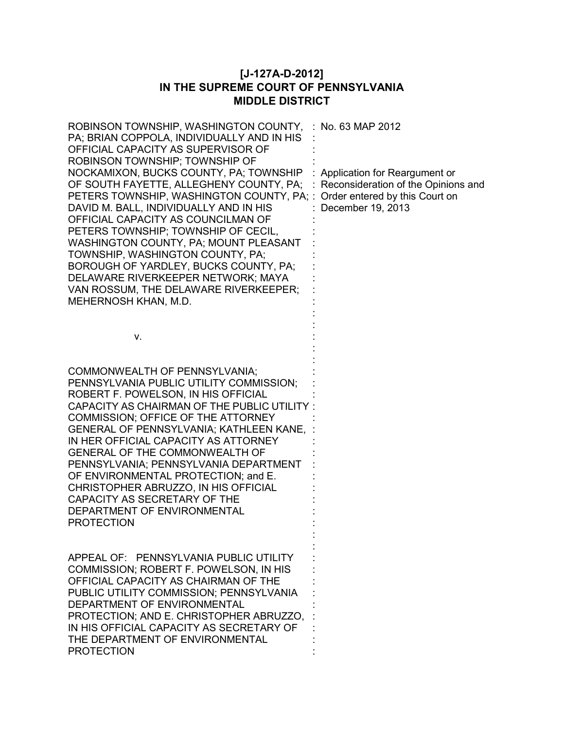## **[J-127A-D-2012] IN THE SUPREME COURT OF PENNSYLVANIA MIDDLE DISTRICT**

| ROBINSON TOWNSHIP, WASHINGTON COUNTY,<br>PA; BRIAN COPPOLA, INDIVIDUALLY AND IN HIS<br>OFFICIAL CAPACITY AS SUPERVISOR OF<br>ROBINSON TOWNSHIP; TOWNSHIP OF<br>NOCKAMIXON, BUCKS COUNTY, PA; TOWNSHIP<br>OF SOUTH FAYETTE, ALLEGHENY COUNTY, PA;<br>PETERS TOWNSHIP, WASHINGTON COUNTY, PA;<br>DAVID M. BALL, INDIVIDUALLY AND IN HIS<br>OFFICIAL CAPACITY AS COUNCILMAN OF<br>PETERS TOWNSHIP; TOWNSHIP OF CECIL,<br>WASHINGTON COUNTY, PA; MOUNT PLEASANT<br>TOWNSHIP, WASHINGTON COUNTY, PA;<br>BOROUGH OF YARDLEY, BUCKS COUNTY, PA;<br>DELAWARE RIVERKEEPER NETWORK; MAYA<br>VAN ROSSUM, THE DELAWARE RIVERKEEPER;<br>MEHERNOSH KHAN, M.D. | : No. 63 MAP 2012<br>Application for Reargument or<br>Reconsideration of the Opinions and<br>Order entered by this Court on<br>December 19, 2013 |
|-------------------------------------------------------------------------------------------------------------------------------------------------------------------------------------------------------------------------------------------------------------------------------------------------------------------------------------------------------------------------------------------------------------------------------------------------------------------------------------------------------------------------------------------------------------------------------------------------------------------------------------------------|--------------------------------------------------------------------------------------------------------------------------------------------------|
| ν.                                                                                                                                                                                                                                                                                                                                                                                                                                                                                                                                                                                                                                              |                                                                                                                                                  |
| COMMONWEALTH OF PENNSYLVANIA;<br>PENNSYLVANIA PUBLIC UTILITY COMMISSION;<br>ROBERT F. POWELSON, IN HIS OFFICIAL<br>CAPACITY AS CHAIRMAN OF THE PUBLIC UTILITY:<br>COMMISSION; OFFICE OF THE ATTORNEY<br>GENERAL OF PENNSYLVANIA; KATHLEEN KANE,<br>IN HER OFFICIAL CAPACITY AS ATTORNEY<br><b>GENERAL OF THE COMMONWEALTH OF</b><br>PENNSYLVANIA; PENNSYLVANIA DEPARTMENT<br>OF ENVIRONMENTAL PROTECTION; and E.<br>CHRISTOPHER ABRUZZO, IN HIS OFFICIAL<br>CAPACITY AS SECRETARY OF THE<br>DEPARTMENT OF ENVIRONMENTAL<br><b>PROTECTION</b>                                                                                                    |                                                                                                                                                  |
| APPEAL OF: PENNSYLVANIA PUBLIC UTILITY<br>COMMISSION; ROBERT F. POWELSON, IN HIS<br>OFFICIAL CAPACITY AS CHAIRMAN OF THE<br>PUBLIC UTILITY COMMISSION; PENNSYLVANIA<br>DEPARTMENT OF ENVIRONMENTAL<br>PROTECTION; AND E. CHRISTOPHER ABRUZZO,<br>IN HIS OFFICIAL CAPACITY AS SECRETARY OF<br>THE DEPARTMENT OF ENVIRONMENTAL<br><b>PROTECTION</b>                                                                                                                                                                                                                                                                                               |                                                                                                                                                  |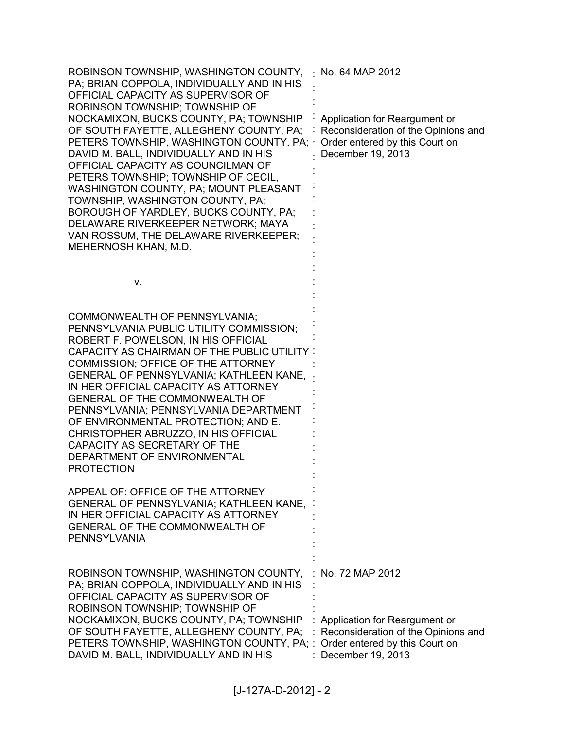| ROBINSON TOWNSHIP, WASHINGTON COUNTY,<br>PA; BRIAN COPPOLA, INDIVIDUALLY AND IN HIS<br>OFFICIAL CAPACITY AS SUPERVISOR OF<br>ROBINSON TOWNSHIP; TOWNSHIP OF<br>NOCKAMIXON, BUCKS COUNTY, PA; TOWNSHIP<br>OF SOUTH FAYETTE, ALLEGHENY COUNTY, PA;<br>PETERS TOWNSHIP, WASHINGTON COUNTY, PA;<br>DAVID M. BALL, INDIVIDUALLY AND IN HIS<br>OFFICIAL CAPACITY AS COUNCILMAN OF<br>PETERS TOWNSHIP; TOWNSHIP OF CECIL,<br>WASHINGTON COUNTY, PA; MOUNT PLEASANT<br>TOWNSHIP, WASHINGTON COUNTY, PA;<br>BOROUGH OF YARDLEY, BUCKS COUNTY, PA;<br>DELAWARE RIVERKEEPER NETWORK; MAYA<br>VAN ROSSUM, THE DELAWARE RIVERKEEPER;<br>MEHERNOSH KHAN, M.D. | No. 64 MAP 2012<br>Application for Reargument or<br>Reconsideration of the Opinions and<br>Order entered by this Court on<br>December 19, 2013   |
|-------------------------------------------------------------------------------------------------------------------------------------------------------------------------------------------------------------------------------------------------------------------------------------------------------------------------------------------------------------------------------------------------------------------------------------------------------------------------------------------------------------------------------------------------------------------------------------------------------------------------------------------------|--------------------------------------------------------------------------------------------------------------------------------------------------|
| v.                                                                                                                                                                                                                                                                                                                                                                                                                                                                                                                                                                                                                                              |                                                                                                                                                  |
| COMMONWEALTH OF PENNSYLVANIA;<br>PENNSYLVANIA PUBLIC UTILITY COMMISSION;<br>ROBERT F. POWELSON, IN HIS OFFICIAL<br><b>CAPACITY AS CHAIRMAN OF THE PUBLIC UTILITY:</b><br>COMMISSION; OFFICE OF THE ATTORNEY<br>GENERAL OF PENNSYLVANIA; KATHLEEN KANE,<br>IN HER OFFICIAL CAPACITY AS ATTORNEY<br>GENERAL OF THE COMMONWEALTH OF<br>PENNSYLVANIA; PENNSYLVANIA DEPARTMENT<br>OF ENVIRONMENTAL PROTECTION; AND E.<br>CHRISTOPHER ABRUZZO, IN HIS OFFICIAL<br>CAPACITY AS SECRETARY OF THE<br>DEPARTMENT OF ENVIRONMENTAL<br><b>PROTECTION</b>                                                                                                    |                                                                                                                                                  |
| APPEAL OF: OFFICE OF THE ATTORNEY<br>GENERAL OF PENNSYLVANIA; KATHLEEN KANE,<br>IN HER OFFICIAL CAPACITY AS ATTORNEY<br><b>GENERAL OF THE COMMONWEALTH OF</b><br><b>PENNSYLVANIA</b>                                                                                                                                                                                                                                                                                                                                                                                                                                                            |                                                                                                                                                  |
| ROBINSON TOWNSHIP, WASHINGTON COUNTY,<br>PA; BRIAN COPPOLA, INDIVIDUALLY AND IN HIS<br>OFFICIAL CAPACITY AS SUPERVISOR OF<br>ROBINSON TOWNSHIP; TOWNSHIP OF<br>NOCKAMIXON, BUCKS COUNTY, PA; TOWNSHIP<br>OF SOUTH FAYETTE, ALLEGHENY COUNTY, PA;<br>PETERS TOWNSHIP, WASHINGTON COUNTY, PA; :<br>DAVID M. BALL, INDIVIDUALLY AND IN HIS                                                                                                                                                                                                                                                                                                         | No. 72 MAP 2012<br>Application for Reargument or<br>Reconsideration of the Opinions and<br>Order entered by this Court on<br>: December 19, 2013 |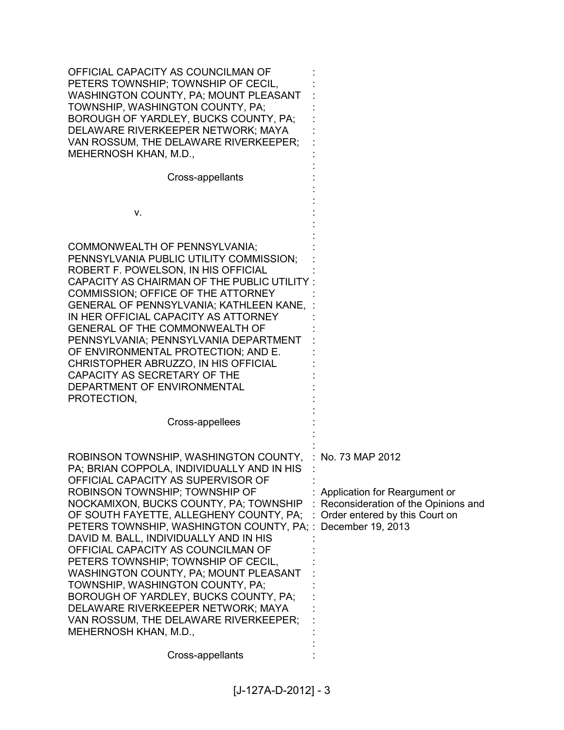| OFFICIAL CAPACITY AS COUNCILMAN OF<br>PETERS TOWNSHIP; TOWNSHIP OF CECIL,<br>WASHINGTON COUNTY, PA; MOUNT PLEASANT<br>TOWNSHIP, WASHINGTON COUNTY, PA;<br>BOROUGH OF YARDLEY, BUCKS COUNTY, PA;<br>DELAWARE RIVERKEEPER NETWORK; MAYA<br>VAN ROSSUM, THE DELAWARE RIVERKEEPER;<br>MEHERNOSH KHAN, M.D.,                                                                                                                                                                                                                                                                                                                                                              |                                                                                                                             |
|----------------------------------------------------------------------------------------------------------------------------------------------------------------------------------------------------------------------------------------------------------------------------------------------------------------------------------------------------------------------------------------------------------------------------------------------------------------------------------------------------------------------------------------------------------------------------------------------------------------------------------------------------------------------|-----------------------------------------------------------------------------------------------------------------------------|
| Cross-appellants                                                                                                                                                                                                                                                                                                                                                                                                                                                                                                                                                                                                                                                     |                                                                                                                             |
| v.                                                                                                                                                                                                                                                                                                                                                                                                                                                                                                                                                                                                                                                                   |                                                                                                                             |
| COMMONWEALTH OF PENNSYLVANIA;<br>PENNSYLVANIA PUBLIC UTILITY COMMISSION;<br>ROBERT F. POWELSON, IN HIS OFFICIAL<br>CAPACITY AS CHAIRMAN OF THE PUBLIC UTILITY:<br>COMMISSION; OFFICE OF THE ATTORNEY<br><b>GENERAL OF PENNSYLVANIA; KATHLEEN KANE,</b><br>IN HER OFFICIAL CAPACITY AS ATTORNEY<br><b>GENERAL OF THE COMMONWEALTH OF</b><br>PENNSYLVANIA; PENNSYLVANIA DEPARTMENT<br>OF ENVIRONMENTAL PROTECTION; AND E.<br>CHRISTOPHER ABRUZZO, IN HIS OFFICIAL<br>CAPACITY AS SECRETARY OF THE<br>DEPARTMENT OF ENVIRONMENTAL<br>PROTECTION,                                                                                                                        |                                                                                                                             |
| Cross-appellees                                                                                                                                                                                                                                                                                                                                                                                                                                                                                                                                                                                                                                                      |                                                                                                                             |
| ROBINSON TOWNSHIP, WASHINGTON COUNTY, : No. 73 MAP 2012<br>PA; BRIAN COPPOLA, INDIVIDUALLY AND IN HIS<br>OFFICIAL CAPACITY AS SUPERVISOR OF<br>ROBINSON TOWNSHIP; TOWNSHIP OF<br>NOCKAMIXON, BUCKS COUNTY, PA; TOWNSHIP<br>OF SOUTH FAYETTE, ALLEGHENY COUNTY, PA;<br>PETERS TOWNSHIP, WASHINGTON COUNTY, PA; :<br>DAVID M. BALL, INDIVIDUALLY AND IN HIS<br>OFFICIAL CAPACITY AS COUNCILMAN OF<br>PETERS TOWNSHIP; TOWNSHIP OF CECIL,<br>WASHINGTON COUNTY, PA; MOUNT PLEASANT<br>TOWNSHIP, WASHINGTON COUNTY, PA;<br>BOROUGH OF YARDLEY, BUCKS COUNTY, PA;<br>DELAWARE RIVERKEEPER NETWORK; MAYA<br>VAN ROSSUM, THE DELAWARE RIVERKEEPER;<br>MEHERNOSH KHAN, M.D., | Application for Reargument or<br>Reconsideration of the Opinions and<br>Order entered by this Court on<br>December 19, 2013 |
| Cross-appellants                                                                                                                                                                                                                                                                                                                                                                                                                                                                                                                                                                                                                                                     |                                                                                                                             |